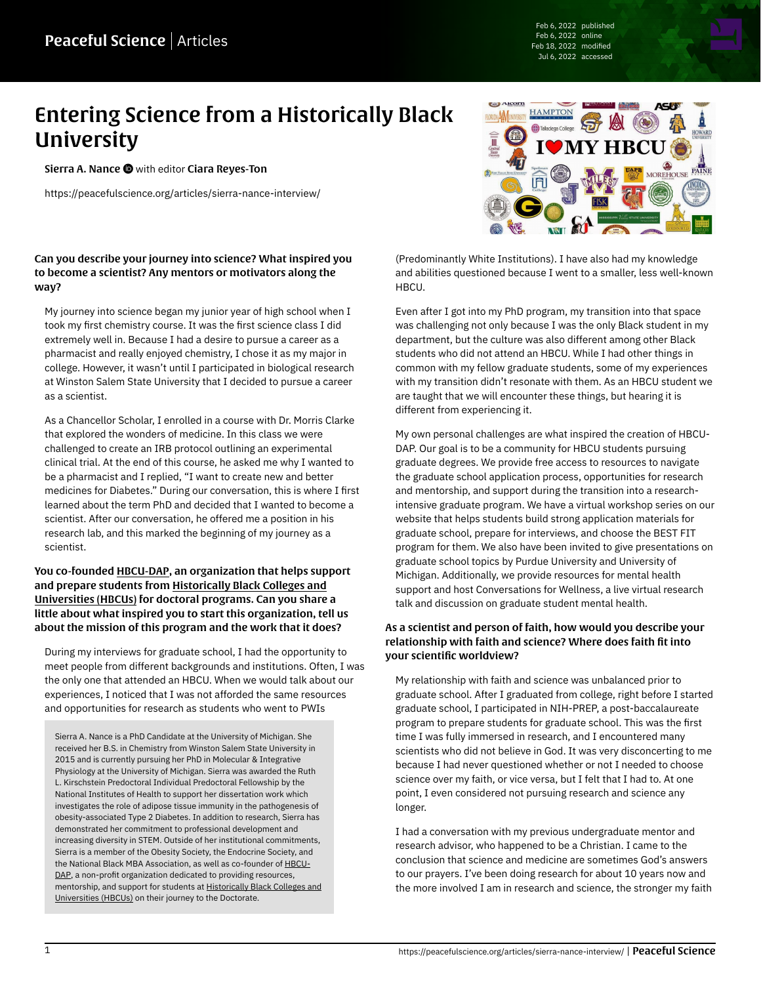Feb 6, 2022 published Feb 6, 2022 online Feb 18, 2022 modified Jul 6, 2022 accessed

# Entering Science from a Historically Black **University**

[Sierra A. Nance](https://peacefulscience.org/authors/sierra-nance/)  $\bullet$  with editor [Ciara Reyes-Ton](https://peacefulscience.org/authors/ciara/)

<https://peacefulscience.org/articles/sierra-nance-interview/>

# **HAMPTON**

(Predominantly White Institutions). I have also had my knowledge and abilities questioned because I went to a smaller, less well-known HBCU.

Even after I got into my PhD program, my transition into that space was challenging not only because I was the only Black student in my department, but the culture was also different among other Black students who did not attend an HBCU. While I had other things in common with my fellow graduate students, some of my experiences with my transition didn't resonate with them. As an HBCU student we are taught that we will encounter these things, but hearing it is different from experiencing it.

My own personal challenges are what inspired the creation of HBCU-DAP. Our goal is to be a community for HBCU students pursuing graduate degrees. We provide free access to resources to navigate the graduate school application process, opportunities for research and mentorship, and support during the transition into a researchintensive graduate program. We have a virtual workshop series on our website that helps students build strong application materials for graduate school, prepare for interviews, and choose the BEST FIT program for them. We also have been invited to give presentations on graduate school topics by Purdue University and University of Michigan. Additionally, we provide resources for mental health support and host Conversations for Wellness, a live virtual research talk and discussion on graduate student mental health.

## As a scientist and person of faith, how would you describe your relationship with faith and science? Where does faith fit into your scientific worldview?

My relationship with faith and science was unbalanced prior to graduate school. After I graduated from college, right before I started graduate school, I participated in NIH-PREP, a post-baccalaureate program to prepare students for graduate school. This was the first time I was fully immersed in research, and I encountered many scientists who did not believe in God. It was very disconcerting to me because I had never questioned whether or not I needed to choose science over my faith, or vice versa, but I felt that I had to. At one point, I even considered not pursuing research and science any longer.

I had a conversation with my previous undergraduate mentor and research advisor, who happened to be a Christian. I came to the conclusion that science and medicine are sometimes God's answers to our prayers. I've been doing research for about 10 years now and the more involved I am in research and science, the stronger my faith

### Can you describe your journey into science? What inspired you to become a scientist? Any mentors or motivators along the way?

My journey into science began my junior year of high school when I took my first chemistry course. It was the first science class I did extremely well in. Because I had a desire to pursue a career as a pharmacist and really enjoyed chemistry, I chose it as my major in college. However, it wasn't until I participated in biological research at Winston Salem State University that I decided to pursue a career as a scientist.

As a Chancellor Scholar, I enrolled in a course with Dr. Morris Clarke that explored the wonders of medicine. In this class we were challenged to create an IRB protocol outlining an experimental clinical trial. At the end of this course, he asked me why I wanted to be a pharmacist and I replied, "I want to create new and better medicines for Diabetes." During our conversation, this is where I first learned about the term PhD and decided that I wanted to become a scientist. After our conversation, he offered me a position in his research lab, and this marked the beginning of my journey as a scientist.

## You co-founded [HBCU-DAP](https://www.hbcudap.com/), an organization that helps support and prepare students from [Historically Black Colleges and](https://en.wikipedia.org/wiki/Historically_black_colleges_and_universities) [Universities \(HBCUs\)](https://en.wikipedia.org/wiki/Historically_black_colleges_and_universities) for doctoral programs. Can you share a little about what inspired you to start this organization, tell us about the mission of this program and the work that it does?

During my interviews for graduate school, I had the opportunity to meet people from different backgrounds and institutions. Often, I was the only one that attended an HBCU. When we would talk about our experiences, I noticed that I was not afforded the same resources and opportunities for research as students who went to PWIs

Sierra A. Nance is a PhD Candidate at the University of Michigan. She received her B.S. in Chemistry from Winston Salem State University in 2015 and is currently pursuing her PhD in Molecular & Integrative Physiology at the University of Michigan. Sierra was awarded the Ruth L. Kirschstein Predoctoral Individual Predoctoral Fellowship by the National Institutes of Health to support her dissertation work which investigates the role of adipose tissue immunity in the pathogenesis of obesity-associated Type 2 Diabetes. In addition to research, Sierra has demonstrated her commitment to professional development and increasing diversity in STEM. Outside of her institutional commitments, Sierra is a member of the Obesity Society, the Endocrine Society, and the National Black MBA Association, as well as co-founder of **[HBCU-](https://www.hbcudap.com/)**[DAP](https://www.hbcudap.com/), a non-profit organization dedicated to providing resources, mentorship, and support for students at [Historically Black Colleges and](https://en.wikipedia.org/wiki/Historically_black_colleges_and_universities) [Universities \(HBCUs\)](https://en.wikipedia.org/wiki/Historically_black_colleges_and_universities) on their journey to the Doctorate.